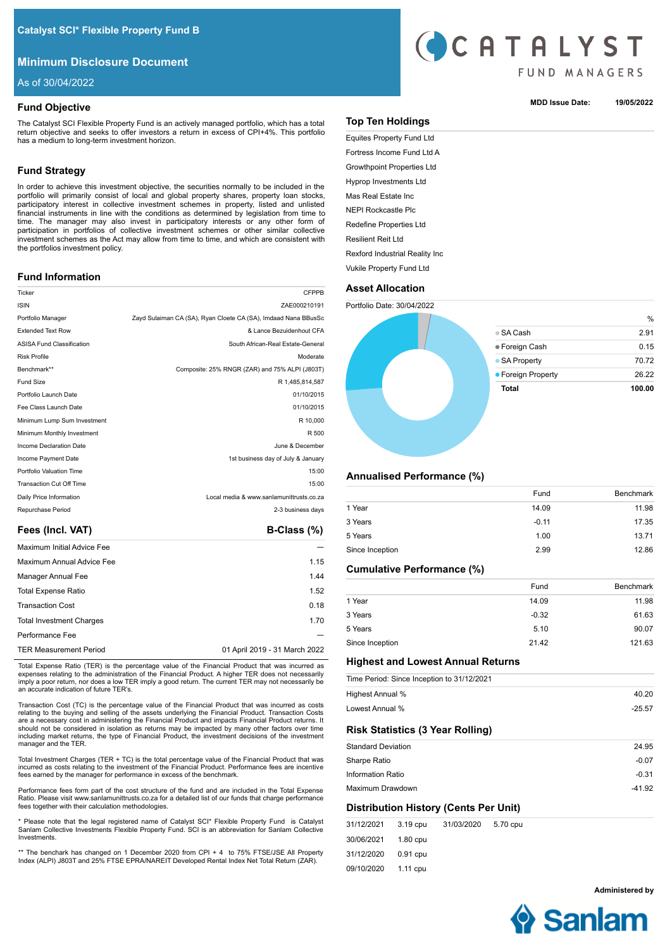# **Minimum Disclosure Document**

As of 30/04/2022

## **Fund Objective**

The Catalyst SCI Flexible Property Fund is an actively managed portfolio, which has a total return objective and seeks to offer investors a return in excess of CPI+4%. This portfolio has a medium to long-term investment horizon.

# **Fund Strategy**

In order to achieve this investment objective, the securities normally to be included in the portfolio will primarily consist of local and global property shares, property loan stocks, participatory interest in collective investment schemes in property, listed and unlisted financial instruments in line with the conditions as determined by legislation from time to time. The manager may also invest in participatory interests or any other form of participation in portfolios of collective investment schemes or other similar collective investment schemes as the Act may allow from time to time, and which are consistent with the portfolios investment policy.

## **Fund Information**

| Ticker                           | <b>CFPPB</b>                                                   |
|----------------------------------|----------------------------------------------------------------|
| <b>ISIN</b>                      | ZAE000210191                                                   |
| Portfolio Manager                | Zayd Sulaiman CA (SA), Ryan Cloete CA (SA), Imdaad Nana BBusSc |
| <b>Extended Text Row</b>         | & Lance Bezuidenhout CFA                                       |
| <b>ASISA Fund Classification</b> | South African-Real Estate-General                              |
| <b>Risk Profile</b>              | Moderate                                                       |
| Benchmark**                      | Composite: 25% RNGR (ZAR) and 75% ALPI (J803T)                 |
| Fund Size                        | R 1.485.814.587                                                |
| Portfolio Launch Date            | 01/10/2015                                                     |
| Fee Class Launch Date            | 01/10/2015                                                     |
| Minimum Lump Sum Investment      | R 10,000                                                       |
| Minimum Monthly Investment       | R 500                                                          |
| Income Declaration Date          | June & December                                                |
| Income Payment Date              | 1st business day of July & January                             |
| Portfolio Valuation Time         | 15:00                                                          |
| <b>Transaction Cut Off Time</b>  | 15:00                                                          |
| Daily Price Information          | Local media & www.sanlamunittrusts.co.za                       |
| Repurchase Period                | 2-3 business days                                              |
|                                  |                                                                |

## Fees (Incl. VAT) **B-Class (%)**

| Maximum Initial Advice Fee      |                               |
|---------------------------------|-------------------------------|
| Maximum Annual Advice Fee       | 1.15                          |
| Manager Annual Fee              | 1.44                          |
| <b>Total Expense Ratio</b>      | 1.52                          |
| <b>Transaction Cost</b>         | 0.18                          |
| <b>Total Investment Charges</b> | 1.70                          |
| Performance Fee                 |                               |
| <b>TER Measurement Period</b>   | 01 April 2019 - 31 March 2022 |
|                                 |                               |

Total Expense Ratio (TER) is the percentage value of the Financial Product that was incurred as expenses relating to the administration of the Financial Product. A higher TER does not necessarily imply a poor return, nor does a low TER imply a good return. The current TER may not necessarily be an accurate indication of future TER's.

Transaction Cost (TC) is the percentage value of the Financial Product that was incurred as costs relating to the buying and selling of the assets underlying the Financial Product. Transaction Costs are a necessary cost in administering the Financial Product and impacts Financial Product returns. It should not be considered in isolation as returns may be impacted by many other factors over time including market returns, the type of Financial Product, the investment decisions of the investment manager and the TER.

Total Investment Charges (TER + TC) is the total percentage value of the Financial Product that was incurred as costs relating to the investment of the Financial Product. Performance fees are incentive fees earned by the manager for performance in excess of the benchmark.

Performance fees form part of the cost structure of the fund and are included in the Total Expense Ratio. Please visit www.sanlamunittrusts.co.za for a detailed list of our funds that charge performance fees together with their calculation methodologies.

\* Please note that the legal registered name of Catalyst SCI\* Flexible Property Fund is Catalyst Sanlam Collective Investments Flexible Property Fund. SCI is an abbreviation for Sanlam Collective Investments.

\*\* The benchark has changed on 1 December 2020 from CPI + 4 to 75% FTSE/JSE All Property Index (ALPI) J803T and 25% FTSE EPRA/NAREIT Developed Rental Index Net Total Return (ZAR).



## **MDD Issue Date: 19/05/2022**

# **Top Ten Holdings**

Equites Property Fund Ltd Fortress Income Fund Ltd A Growthpoint Properties Ltd Hyprop Investments Ltd Mas Real Estate Inc NEPI Rockcastle Plc Redefine Properties Ltd Resilient Reit Ltd Rexford Industrial Reality Inc Vukile Property Fund Ltd

**Asset Allocation** Portfolio Date: 30/04/2022

# $\mathcal{O}_\ell$ SA Cash 2.91 Foreign Cash 0.15 ● SA Property 70.72 Foreign Property 26.22 **Total 100.00**

## **Annualised Performance (%)**

| Fund    | <b>Benchmark</b> |
|---------|------------------|
| 14.09   | 11.98            |
| $-0.11$ | 17.35            |
| 1.00    | 13.71            |
| 2.99    | 12.86            |
|         |                  |

## **Cumulative Performance (%)**

|                 | Fund    | <b>Benchmark</b> |
|-----------------|---------|------------------|
| 1 Year          | 14.09   | 11.98            |
| 3 Years         | $-0.32$ | 61.63            |
| 5 Years         | 5.10    | 90.07            |
| Since Inception | 21.42   | 121.63           |

## **Highest and Lowest Annual Returns**

|                           |          | Time Period: Since Inception to 31/12/2021 |          |          |
|---------------------------|----------|--------------------------------------------|----------|----------|
| Highest Annual %          |          |                                            |          | 40.20    |
| Lowest Annual %           |          |                                            |          | $-25.57$ |
|                           |          | <b>Risk Statistics (3 Year Rolling)</b>    |          |          |
| <b>Standard Deviation</b> |          |                                            |          | 24.95    |
| Sharpe Ratio              |          |                                            |          | $-0.07$  |
| <b>Information Ratio</b>  |          |                                            |          | $-0.31$  |
| Maximum Drawdown          |          |                                            |          | $-41.92$ |
|                           |          | Distribution History (Cents Per Unit)      |          |          |
| 31/12/2021                | 3.19 cpu | 31/03/2020                                 | 5.70 cpu |          |

30/06/2021 31/12/2020 09/10/2020 1.80 cpu 0.91 cpu 1.11 cpu

**Administered by**